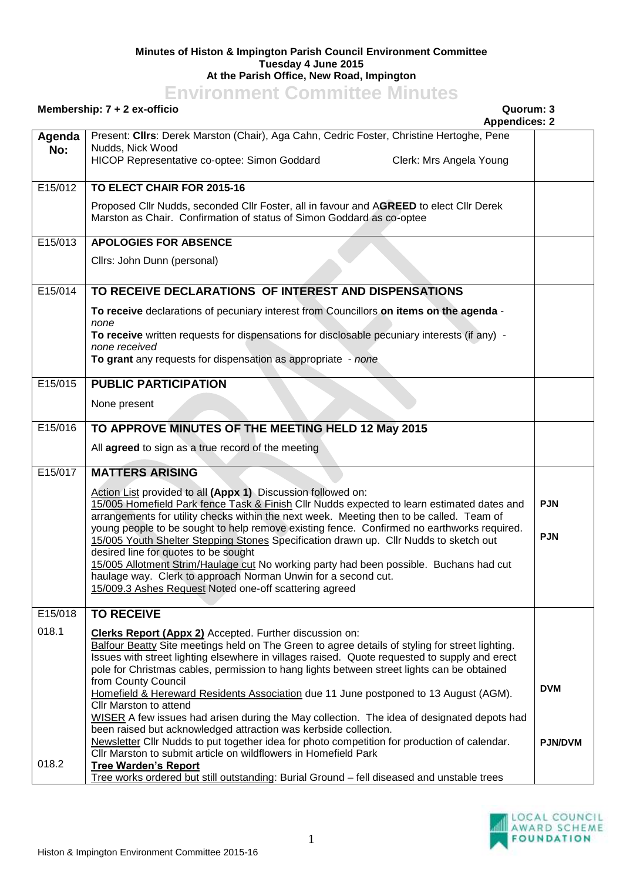## **Minutes of Histon & Impington Parish Council Environment Committee Tuesday 4 June 2015 At the Parish Office, New Road, Impington**

## **Environment Committee Minutes**

## **Membership: 7 + 2 ex-officio Quorum: 3**

**Agenda No:** Present: **Cllrs**: Derek Marston (Chair), Aga Cahn, Cedric Foster, Christine Hertoghe, Pene Nudds, Nick Wood HICOP Representative co-optee: Simon Goddard Clerk: Mrs Angela Young E15/012 **TO ELECT CHAIR FOR 2015-16** Proposed Cllr Nudds, seconded Cllr Foster, all in favour and A**GREED** to elect Cllr Derek Marston as Chair. Confirmation of status of Simon Goddard as co-optee E15/013 **APOLOGIES FOR ABSENCE** Cllrs: John Dunn (personal) E15/014 **TO RECEIVE DECLARATIONS OF INTEREST AND DISPENSATIONS To receive** declarations of pecuniary interest from Councillors **on items on the agenda** *none* **To receive** written requests for dispensations for disclosable pecuniary interests (if any) *none received* **To grant** any requests for dispensation as appropriate - *none* E15/015 **PUBLIC PARTICIPATION** None present E15/016 **TO APPROVE MINUTES OF THE MEETING HELD 12 May 2015** All **agreed** to sign as a true record of the meeting E15/017 **MATTERS ARISING** Action List provided to all **(Appx 1)** Discussion followed on: 15/005 Homefield Park fence Task & Finish Cllr Nudds expected to learn estimated dates and arrangements for utility checks within the next week. Meeting then to be called. Team of young people to be sought to help remove existing fence. Confirmed no earthworks required. 15/005 Youth Shelter Stepping Stones Specification drawn up. Cllr Nudds to sketch out desired line for quotes to be sought 15/005 Allotment Strim/Haulage cut No working party had been possible. Buchans had cut haulage way. Clerk to approach Norman Unwin for a second cut. 15/009.3 Ashes Request Noted one-off scattering agreed **PJN PJN** E15/018 018.1 018.2 **TO RECEIVE Clerks Report (Appx 2)** Accepted. Further discussion on: Balfour Beatty Site meetings held on The Green to agree details of styling for street lighting. Issues with street lighting elsewhere in villages raised. Quote requested to supply and erect pole for Christmas cables, permission to hang lights between street lights can be obtained from County Council Homefield & Hereward Residents Association due 11 June postponed to 13 August (AGM). Cllr Marston to attend WISER A few issues had arisen during the May collection. The idea of designated depots had been raised but acknowledged attraction was kerbside collection. Newsletter Cllr Nudds to put together idea for photo competition for production of calendar. Cllr Marston to submit article on wildflowers in Homefield Park **Tree Warden's Report** Tree works ordered but still outstanding: Burial Ground – fell diseased and unstable trees **DVM PJN/DVM**



**Appendices: 2**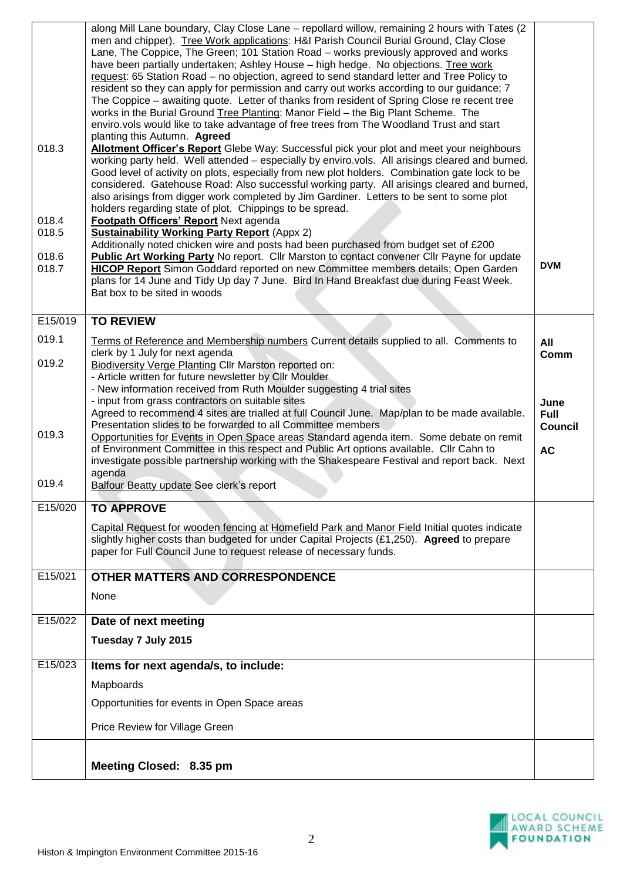|                | along Mill Lane boundary, Clay Close Lane - repollard willow, remaining 2 hours with Tates (2)                                                                                              |                               |
|----------------|---------------------------------------------------------------------------------------------------------------------------------------------------------------------------------------------|-------------------------------|
|                | men and chipper). Tree Work applications: H&I Parish Council Burial Ground, Clay Close<br>Lane, The Coppice, The Green; 101 Station Road - works previously approved and works              |                               |
|                | have been partially undertaken; Ashley House - high hedge. No objections. Tree work                                                                                                         |                               |
|                | request: 65 Station Road - no objection, agreed to send standard letter and Tree Policy to                                                                                                  |                               |
|                | resident so they can apply for permission and carry out works according to our guidance; 7<br>The Coppice – awaiting quote. Letter of thanks from resident of Spring Close re recent tree   |                               |
|                | works in the Burial Ground Tree Planting: Manor Field - the Big Plant Scheme. The                                                                                                           |                               |
|                | enviro.vols would like to take advantage of free trees from The Woodland Trust and start                                                                                                    |                               |
|                | planting this Autumn. Agreed                                                                                                                                                                |                               |
| 018.3          | Allotment Officer's Report Glebe Way: Successful pick your plot and meet your neighbours<br>working party held. Well attended - especially by enviro.vols. All arisings cleared and burned. |                               |
|                | Good level of activity on plots, especially from new plot holders. Combination gate lock to be                                                                                              |                               |
|                | considered. Gatehouse Road: Also successful working party. All arisings cleared and burned,                                                                                                 |                               |
|                | also arisings from digger work completed by Jim Gardiner. Letters to be sent to some plot                                                                                                   |                               |
| 018.4          | holders regarding state of plot. Chippings to be spread.<br>Footpath Officers' Report Next agenda                                                                                           |                               |
| 018.5          | <b>Sustainability Working Party Report (Appx 2)</b>                                                                                                                                         |                               |
|                | Additionally noted chicken wire and posts had been purchased from budget set of £200                                                                                                        |                               |
| 018.6<br>018.7 | <b>Public Art Working Party No report.</b> Cllr Marston to contact convener Cllr Payne for update<br>HICOP Report Simon Goddard reported on new Committee members details; Open Garden      | <b>DVM</b>                    |
|                | plans for 14 June and Tidy Up day 7 June. Bird In Hand Breakfast due during Feast Week.                                                                                                     |                               |
|                | Bat box to be sited in woods                                                                                                                                                                |                               |
|                |                                                                                                                                                                                             |                               |
| E15/019        | <b>TO REVIEW</b>                                                                                                                                                                            |                               |
| 019.1          | Terms of Reference and Membership numbers Current details supplied to all. Comments to                                                                                                      | All                           |
| 019.2          | clerk by 1 July for next agenda<br>Biodiversity Verge Planting Cllr Marston reported on:                                                                                                    | Comm                          |
|                | - Article written for future newsletter by Cllr Moulder                                                                                                                                     |                               |
|                | - New information received from Ruth Moulder suggesting 4 trial sites                                                                                                                       |                               |
|                | - input from grass contractors on suitable sites                                                                                                                                            | June                          |
|                | Agreed to recommend 4 sites are trialled at full Council June. Map/plan to be made available.<br>Presentation slides to be forwarded to all Committee members                               | <b>Full</b><br><b>Council</b> |
| 019.3          | Opportunities for Events in Open Space areas Standard agenda item. Some debate on remit                                                                                                     |                               |
|                | of Environment Committee in this respect and Public Art options available. Cllr Cahn to                                                                                                     | <b>AC</b>                     |
|                | investigate possible partnership working with the Shakespeare Festival and report back. Next<br>agenda                                                                                      |                               |
| 019.4          | Balfour Beatty update See clerk's report                                                                                                                                                    |                               |
|                |                                                                                                                                                                                             |                               |
|                |                                                                                                                                                                                             |                               |
| E15/020        | <b>TO APPROVE</b>                                                                                                                                                                           |                               |
|                | Capital Request for wooden fencing at Homefield Park and Manor Field Initial quotes indicate                                                                                                |                               |
|                | slightly higher costs than budgeted for under Capital Projects (£1,250). Agreed to prepare                                                                                                  |                               |
|                | paper for Full Council June to request release of necessary funds.                                                                                                                          |                               |
| E15/021        | OTHER MATTERS AND CORRESPONDENCE                                                                                                                                                            |                               |
|                | <b>None</b>                                                                                                                                                                                 |                               |
| E15/022        |                                                                                                                                                                                             |                               |
|                | Date of next meeting                                                                                                                                                                        |                               |
|                | Tuesday 7 July 2015                                                                                                                                                                         |                               |
| E15/023        | Items for next agenda/s, to include:                                                                                                                                                        |                               |
|                | Mapboards                                                                                                                                                                                   |                               |
|                | Opportunities for events in Open Space areas                                                                                                                                                |                               |
|                | Price Review for Village Green                                                                                                                                                              |                               |
|                |                                                                                                                                                                                             |                               |
|                | Meeting Closed: 8.35 pm                                                                                                                                                                     |                               |